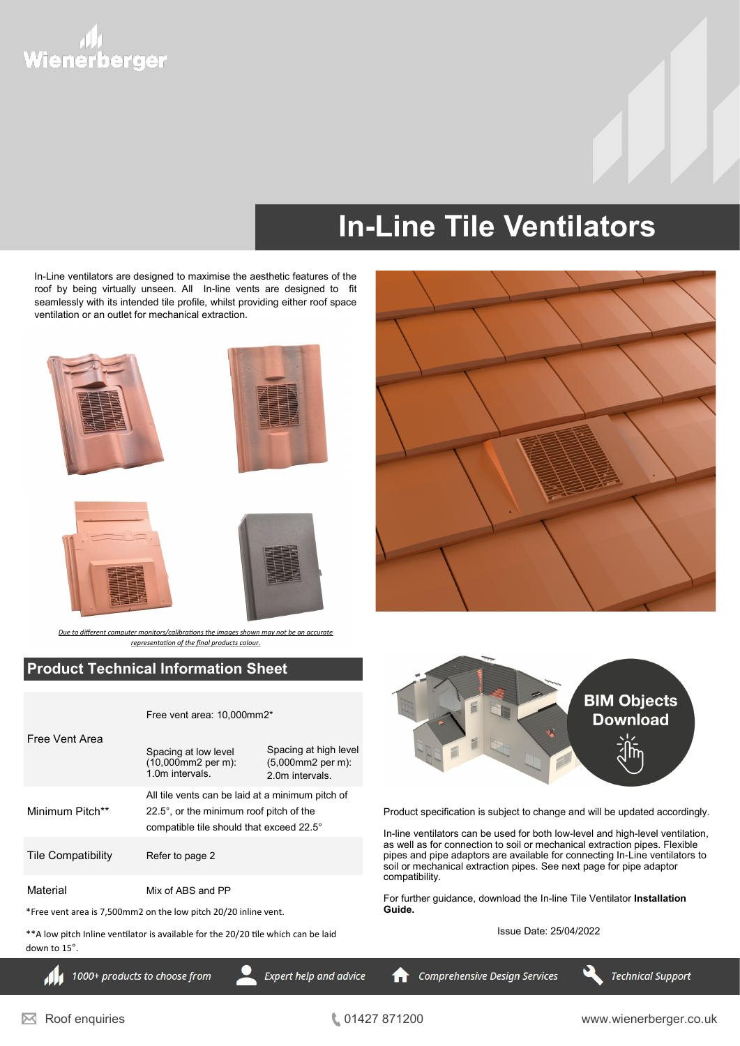## יוו,<br>Wienerberger

### **In-Line Tile Ventilators**

In-Line ventilators are designed to maximise the aesthetic features of the roof by being virtually unseen. All In-line vents are designed to fit seamlessly with its intended tile profile, whilst providing either roof space ventilation or an outlet for mechanical extraction.









*Due to different computer monitors/calibrations the images shown may not be an accurate representation of the final products colour.*

#### **Product Technical Information Sheet**

|                           | Free vent area: 10.000mm2*                                                                                                                      |                                                                     |  |
|---------------------------|-------------------------------------------------------------------------------------------------------------------------------------------------|---------------------------------------------------------------------|--|
| Free Vent Area            | Spacing at low level<br>(10,000mm2 per m):<br>1.0m intervals                                                                                    | Spacing at high level<br>$(5,000$ mm2 per m $)$ :<br>2.0m intervals |  |
| Minimum Pitch**           | All tile vents can be laid at a minimum pitch of<br>$22.5^\circ$ , or the minimum roof pitch of the<br>compatible tile should that exceed 22.5° |                                                                     |  |
| <b>Tile Compatibility</b> | Refer to page 2                                                                                                                                 |                                                                     |  |
| Material                  | Mix of ABS and PP                                                                                                                               |                                                                     |  |

\*Free vent area is 7,500mm2 on the low pitch 20/20 inline vent.

\*\*A low pitch Inline ventilator is available for the 20/20 tile which can be laid down to 15°.



Product specification is subject to change and will be updated accordingly.

In-line ventilators can be used for both low-level and high-level ventilation, as well as for connection to soil or mechanical extraction pipes. Flexible pipes and pipe adaptors are available for connecting In-Line ventilators to soil or mechanical extraction pipes. See next page for pipe adaptor compatibility.

For further guidance, download the In-line Tile Ventilator **Installation Guide.** 

Issue Date: 25/04/2022